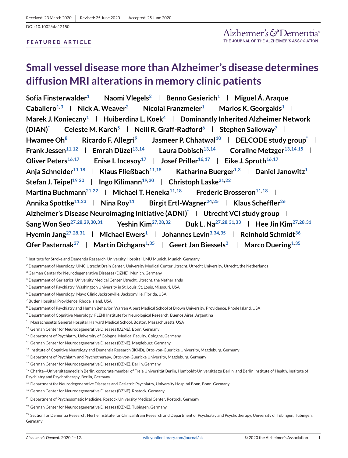# **Small vessel disease more than Alzheimer's disease determines diffusion MRI alterations in memory clinic patients**

**Sofia Finsterwalder1 Naomi Vlegels2 Benno Gesierich1 Miguel Á. Araque Caballero**<sup>1,3</sup> **Nick A. Weaver<sup>2</sup> <b>Nicolai Franzmeier**<sup>1</sup> **Marios K. Georgakis**<sup>1</sup> **N Marek J. Konieczny1 Huiberdina L. Koek4 Dominantly Inherited Alzheimer Network**  $(DIAN)^*$  **Celeste M. Karch<sup>5</sup> <b>Neill R. Graff-Radford**<sup>6</sup> **Stephen Salloway**<sup>7</sup> **I** Hwamee Oh<sup>8</sup> **Ricardo F. Allegri**<sup>9</sup> **L** Jasmeer P. Chhatwal<sup>10</sup> **L DELCODE study group**<sup>\*</sup> L **Frank Jessen**<sup>11,12</sup> **Emrah Düzel**<sup>13,14</sup> **Laura Dobisch**<sup>13,14</sup> **L** Coraline Metzger<sup>13,14,15</sup> L **Oliver Peters**<sup>16,17</sup> **Enise I. Incesoy**<sup>17</sup> **Josef Priller**<sup>16,17</sup> **Eike J. Spruth**<sup>16,17</sup> **|** Anja Schneider<sup>11,18</sup> | Klaus Fließbach<sup>11,18</sup> | Katharina Buerger<sup>1,3</sup> | Daniel Janowitz<sup>1</sup> | **Stefan J. Teipel**<sup>19,20</sup> **| Ingo Kilimann**<sup>19,20</sup> **| Christoph Laske**<sup>21,22</sup> **| Martina Buchmann**<sup>21,22</sup> **Michael T. Heneka**<sup>11,18</sup> **Frederic Brosseron**<sup>11,18</sup> Annika Spottke<sup>11,23</sup> **Nina Roy<sup>11</sup> <b>Birgit Ertl-Wagner**<sup>24,25</sup> **Klaus Scheffler**<sup>26</sup> **k Alzheimer's Disease Neuroimaging Initiative (ADNI[\)\\*](#page-1-0) Utrecht VCI study group Sang Won Seo**<sup>27,28,29,30,31 **| Yeshin Kim**<sup>27,28,32</sup> **| Duk L. Na**<sup>27,28,31,33 **| Hee Jin Kim**<sup>27,28,31 **|**</sup></sup></sup> Hyemin Jang<sup>27,28,31</sup> | Michael Ewers<sup>1</sup> | Johannes Levin<sup>3[,34,35](#page-1-0)</sup> | Reinhold Schmidt<sup>36</sup> | **Ofer Pasternak**<sup>37</sup> **Martin Dichgans**<sup>1[,35](#page-1-0)</sup> **Geert Jan Biessels<sup>2</sup> Amarco Duering**<sup>1,35</sup>

- <sup>3</sup> German Center for Neurodegenerative Diseases (DZNE), Munich, Germany
- <sup>4</sup> Department of Geriatrics, University Medical Center Utrecht, Utrecht, the Netherlands
- <sup>5</sup> Department of Psychiatry, Washington University in St. Louis, St. Louis, Missouri, USA

<sup>6</sup> Department of Neurology, Mayo Clinic Jacksonville, Jacksonville, Florida, USA

- <sup>7</sup> Butler Hospital, Providence, Rhode Island, USA
- 8 Department of Psychiatry and Human Behavior, Warren Alpert Medical School of Brown University, Providence, Rhode Island, USA
- <sup>9</sup> Department of Cognitive Neurology, FLENI Institute for Neurological Research, Buenos Aires, Argentina
- <sup>10</sup> Massachusetts General Hospital, Harvard Medical School, Boston, Massachusetts, USA
- <sup>11</sup> German Center for Neurodegenerative Diseases (DZNE), Bonn, Germany
- <sup>12</sup> Department of Psychiatry, University of Cologne, Medical Faculty, Cologne, Germany
- <sup>13</sup> German Center for Neurodegenerative Diseases (DZNE), Magdeburg, Germany
- <sup>14</sup> Institute of Cognitive Neurology and Dementia Research (IKND), Otto-von-Guericke University, Magdeburg, Germany
- <sup>15</sup> Department of Psychiatry and Psychotherapy, Otto-von-Guericke University, Magdeburg, Germany
- <sup>16</sup> German Center for Neurodegenerative Diseases (DZNE), Berlin, Germany
- 17 Charité–Universitätsmedizin Berlin, corporate member of Freie Universität Berlin, Humboldt-Universität zu Berlin, and Berlin Institute of Health, Institute of Psychiatry and Psychotherapy, Berlin, Germany
- $18$  Department for Neurodegenerative Diseases and Geriatric Psychiatry, University Hospital Bonn, Bonn, Germany
- <sup>19</sup> German Center for Neurodegenerative Diseases (DZNE), Rostock, Germany
- <sup>20</sup> Department of Psychosomatic Medicine, Rostock University Medical Center, Rostock, Germany
- <sup>21</sup> German Center for Neurodegenerative Diseases (DZNE), Tübingen, Germany

<sup>1</sup> Institute for Stroke and Dementia Research, University Hospital, LMU Munich, Munich, Germany

<sup>&</sup>lt;sup>2</sup> Department of Neurology, UMC Utrecht Brain Center, University Medical Center Utrecht, Utrecht University, Utrecht, the Netherlands

<sup>&</sup>lt;sup>22</sup> Section for Dementia Research, Hertie Institute for Clinical Brain Research and Department of Psychiatry and Psychotherapy, University of Tübingen, Tübingen, Germany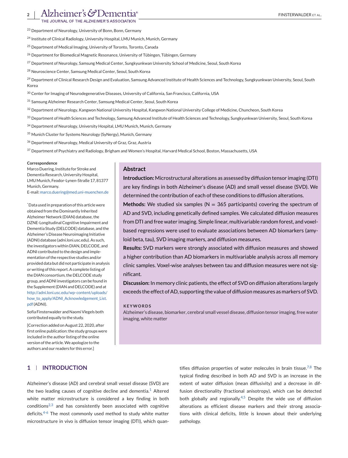OURNAL OF THE ALZHEIMER'S ASSOCIATION

<span id="page-1-0"></span><sup>23</sup> Department of Neurology, University of Bonn, Bonn, Germany

<sup>24</sup> Institute of Clinical Radiology, University Hospital, LMU Munich, Munich, Germany

<sup>25</sup> Department of Medical Imaging, University of Toronto, Toronto, Canada

<sup>26</sup> Department for Biomedical Magnetic Resonance, University of Tübingen, Tübingen, Germany

<sup>27</sup> Department of Neurology, Samsung Medical Center, Sungkyunkwan University School of Medicine, Seoul, South Korea

<sup>28</sup> Neuroscience Center, Samsung Medical Center, Seoul, South Korea

<sup>29</sup> Department of Clinical Research Design and Evaluation, Samsung Advanced Institute of Health Sciences and Technology, Sungkyunkwan University, Seoul, South Korea

<sup>30</sup> Center for Imaging of Neurodegenerative Diseases, University of California, San Francisco, California, USA

<sup>31</sup> Samsung Alzheimer Research Center, Samsung Medical Center, Seoul, South Korea

32 Department of Neurology, Kangwon National University Hospital, Kangwon National University College of Medicine, Chuncheon, South Korea

33 Department of Health Sciences and Technology, Samsung Advanced Institute of Health Sciences and Technology, Sungkyunkwan University, Seoul, South Korea

<sup>34</sup> Department of Neurology, University Hospital, LMU Munich, Munich, Germany

<sup>35</sup> Munich Cluster for Systems Neurology (SyNergy), Munich, Germany

<sup>36</sup> Department of Neurology, Medical University of Graz, Graz, Austria

<sup>37</sup> Department of Psychiatry and Radiology, Brigham and Women's Hospital, Harvard Medical School, Boston, Massachusetts, USA

#### **Correspondence**

Marco Duering, Institute for Stroke and Dementia Research, University Hospital, LMUMunich, Feodor-Lynen-Straße 17, 81377 Munich, Germany.

E-mail: [marco.duering@med.uni-muenchen.de](mailto:marco.duering@med.uni-muenchen.de)

\* Data used in preparation of this article were obtained from the Dominantly Inherited Alzheimer Network (DIAN) database, the DZNE-Longitudinal Cognitive Impairment and Dementia Study (DELCODE) database, and the Alzheimer's Disease Neuroimaging Initiative (ADNI) database (adni.loni.usc.edu). As such, the investigators within DIAN, DELCODE, and ADNI contributed to the design and implementation of the respective studies and/or provided data but did not participate in analysis or writing of this report. A complete listing of the DIAN consortium, the DELCODE study group, and ADNI investigators can be found in the Supplement (DIAN and DELCODE) and at [http://adni.loni.usc.edu/wp-content/uploads/](http://adni.loni.usc.edu/wp-content/uploads/how_to_apply/ADNI_Acknowledgement_List.pdf) [how\\_to\\_apply/ADNI\\_Acknowledgement\\_List.](http://adni.loni.usc.edu/wp-content/uploads/how_to_apply/ADNI_Acknowledgement_List.pdf) [pdf](http://adni.loni.usc.edu/wp-content/uploads/how_to_apply/ADNI_Acknowledgement_List.pdf)(ADNI).

Sofia Finsterwalder and Naomi Vlegels both contributed equally to the study.

[Correction added on August 22, 2020, after first online publication: the study groups were included in the author listing of the online version of the article.We apologize to the authors and our readers for this error.]

# **1 INTRODUCTION**

# **Abstract**

**Introduction:** Microstructural alterations as assessed by diffusion tensor imaging (DTI) are key findings in both Alzheimer's disease (AD) and small vessel disease (SVD). We determined the contribution of each of these conditions to diffusion alterations.

**Methods:** We studied six samples ( $N = 365$  participants) covering the spectrum of AD and SVD, including genetically defined samples. We calculated diffusion measures from DTI and free water imaging. Simple linear, multivariable random forest, and voxelbased regressions were used to evaluate associations between AD biomarkers (amyloid beta, tau), SVD imaging markers, and diffusion measures.

**Results:** SVD markers were strongly associated with diffusion measures and showed a higher contribution than AD biomarkers in multivariable analysis across all memory clinic samples. Voxel-wise analyses between tau and diffusion measures were not significant.

**Discussion:** In memory clinic patients, the effect of SVD on diffusion alterations largely exceeds the effect of AD, supporting the value of diffusion measures as markers of SVD.

#### **KEYWORDS**

Alzheimer's disease, biomarker, cerebral small vessel disease, diffusion tensor imaging, free water imaging, white matter

Alzheimer's disease (AD) and cerebral small vessel disease (SVD) are the two leading causes of cognitive decline and dementia.<sup>[1](#page-9-0)</sup> Altered white matter microstructure is considered a key finding in both  $conditions<sup>2,3</sup>$  $conditions<sup>2,3</sup>$  $conditions<sup>2,3</sup>$  and has consistently been associated with cognitive deficits.[4-6](#page-9-0) The most commonly used method to study white matter microstructure in vivo is diffusion tensor imaging (DTI), which quantifies diffusion properties of water molecules in brain tissue.<sup>[7,8](#page-9-0)</sup> The typical finding described in both AD and SVD is an increase in the extent of water diffusion (mean diffusivity) and a decrease in diffusion directionality (fractional anisotropy), which can be detected both globally and regionally.<sup>[4,5](#page-9-0)</sup> Despite the wide use of diffusion alterations as efficient disease markers and their strong associations with clinical deficits, little is known about their underlying pathology.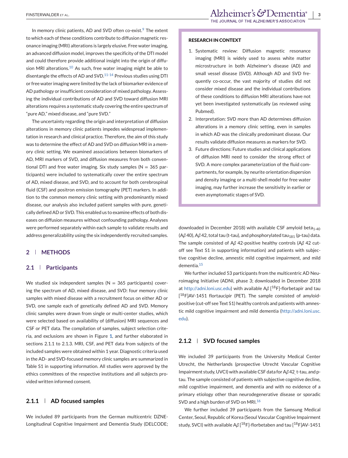In memory clinic patients, AD and SVD often co-exist.<sup>[9](#page-9-0)</sup> The extent to which each of these conditions contribute to diffusion magnetic resonance imaging (MRI) alterations is largely elusive. Free water imaging, an advanced diffusion model, improves the specificity of the DTI model and could therefore provide additional insight into the origin of diffu-sion MRI alterations.<sup>[10](#page-9-0)</sup> As such, free water imaging might be able to disentangle the effects of AD and SVD. $11-14$  Previous studies using DTI or free water imaging were limited by the lack of biomarker evidence of AD pathology or insufficient consideration of mixed pathology. Assessing the individual contributions of AD and SVD toward diffusion MRI alterations requires a systematic study covering the entire spectrum of "pure AD," mixed disease, and "pure SVD."

The uncertainty regarding the origin and interpretation of diffusion alterations in memory clinic patients impedes widespread implementation in research and clinical practice. Therefore, the aim of this study was to determine the effect of AD and SVD on diffusion MRI in a memory clinic setting. We examined associations between biomarkers of AD, MRI markers of SVD, and diffusion measures from both conventional DTI and free water imaging. Six study samples ( $N = 365$  participants) were included to systematically cover the entire spectrum of AD, mixed disease, and SVD, and to account for both cerebrospinal fluid (CSF) and positron emission tomography (PET) markers. In addition to the common memory clinic setting with predominantly mixed disease, our analysis also included patient samples with pure, genetically defined AD or SVD. This enabled us to examine effects of both diseases on diffusion measures without confounding pathology. Analyses were performed separately within each sample to validate results and address generalizability using the six independently recruited samples.

## **2 METHODS**

### **2.1 Participants**

We studied six independent samples ( $N = 365$  participants) covering the spectrum of AD, mixed disease, and SVD: four memory clinic samples with mixed disease with a recruitment focus on either AD or SVD, one sample each of genetically defined AD and SVD. Memory clinic samples were drawn from single or multi-center studies, which were selected based on availability of (diffusion) MRI sequences and CSF or PET data. The compilation of samples, subject selection criteria, and exclusions are shown in Figure **[1](#page-3-0)**, and further elaborated in sections 2.1.1 to 2.1.3. MRI, CSF, and PET data from subjects of the included samples were obtained within 1 year. Diagnostic criteria used in the AD- and SVD-focused memory clinic samples are summarized in Table S1 in supporting information. All studies were approved by the ethics committees of the respective institutions and all subjects provided written informed consent.

#### **2.1.1 AD focused samples**

We included 89 participants from the German multicentric DZNE-Longitudinal Cognitive Impairment and Dementia Study (DELCODE;

#### **RESEARCH IN CONTEXT**

- 1. Systematic review: Diffusion magnetic resonance imaging (MRI) is widely used to assess white matter microstructure in both Alzheimer's disease (AD) and small vessel disease (SVD). Although AD and SVD frequently co-occur, the vast majority of studies did not consider mixed disease and the individual contributions of these conditions to diffusion MRI alterations have not yet been investigated systematically (as reviewed using Pubmed).
- 2. Interpretation: SVD more than AD determines diffusion alterations in a memory clinic setting, even in samples in which AD was the clinically predominant disease. Our results validate diffusion measures as markers for SVD.
- 3. Future directions: Future studies and clinical applications of diffusion MRI need to consider the strong effect of SVD. A more complex parameterization of the fluid compartments, for example, by neurite orientation dispersion and density imaging or a multi-shell model for free water imaging, may further increase the sensitivity in earlier or even asymptomatic stages of SVD.

downloaded in December 2018) with available CSF amyloid beta<sub>1-40</sub> (Aβ 40), Aβ 42, total tau (t-tau), and phosphorylated tau<sub>181</sub> (p-tau) data. The sample consisted of A*β* 42-positive healthy controls (A*β* 42 cutoff see Text S1 in supporting information) and patients with subjective cognitive decline, amnestic mild cognitive impairment, and mild dementia.[15](#page-9-0)

We further included 53 participants from the multicentric AD Neuroimaging Initiative (ADNI, phase 3; downloaded in December 2018 at [http://adni.loni.usc.edu\)](http://adni.loni.usc.edu) with available A*β* [ 18F]-florbetapir and tau [<sup>18</sup>F]AV-1451 flortaucipir (PET). The sample consisted of amyloidpositive (cut-off see Text S1) healthy controls and patients with amnestic mild cognitive impairment and mild dementia [\(http://adni.loni.usc.](http://adni.loni.usc.edu) [edu\)](http://adni.loni.usc.edu).

#### **2.1.2 SVD focused samples**

We included 39 participants from the University Medical Center Utrecht, the Netherlands (prospective Utrecht Vascular Cognitive Impairment study, UVCI) with available CSF data for A*β* 42, t-tau, and ptau. The sample consisted of patients with subjective cognitive decline, mild cognitive impairment, and dementia and with no evidence of a primary etiology other than neurodegenerative disease or sporadic SVD and a high burden of SVD on MRI.<sup>[16](#page-10-0)</sup>

We further included 39 participants from the Samsung Medical Center, Seoul, Republic of Korea (Seoul Vascular Cognitive Impairment study, SVCI) with available Aβ [<sup>18</sup>F]-florbetaben and tau [<sup>18</sup>F]AV-1451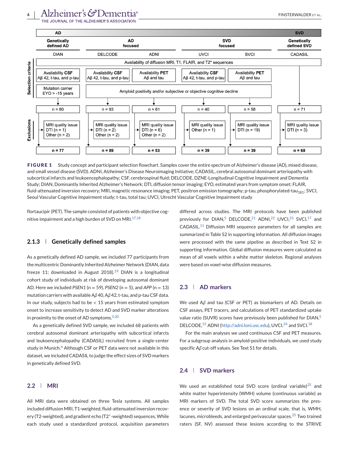<span id="page-3-0"></span>

**FIGURE 1** Study concept and participant selection flowchart. Samples cover the entire spectrum of Alzheimer's disease (AD), mixed disease, and small vessel disease (SVD). ADNI, Alzheimer's Disease Neuroimaging Initiative; CADASIL, cerebral autosomal dominant arteriopathy with subcortical infarcts and leukoencephalopathy; CSF, cerebrospinal fluid; DELCODE, DZNE-Longitudinal Cognitive Impairment and Dementia Study; DIAN, Dominantly Inherited Alzheimer's Network; DTI, diffusion tensor imaging; EYO, estimated years from symptom onset; FLAIR, fluid-attenuated inversion recovery; MRI, magnetic resonance imaging; PET, positron emission tomography; p-tau, phosphorylated-tau<sub>181</sub>; SVCI, Seoul Vascular Cognitive Impairment study; t-tau, total tau; UVCI, Utrecht Vascular Cognitive Impairment study

flortaucipir (PET). The sample consisted of patients with objective cognitive impairment and a high burden of SVD on MRI. $17,18$ 

## **2.1.3 Genetically defined samples**

As a genetically defined AD sample, we included 77 participants from the multicentric Dominantly Inherited Alzheimer Network (DIAN, data freeze 11; downloaded in August 2018).<sup>[19](#page-10-0)</sup> DIAN is a longitudinal cohort study of individuals at risk of developing autosomal dominant AD. Here we included *PSEN1* (n = 59), *PSEN2* (n = 5), and *APP* (n = 13) mutation carriers with available A*β* 40, A*β* 42, t-tau, and p-tau CSF data. In our study, subjects had to be  $<$  15 years from estimated symptom onset to increase sensitivity to detect AD and SVD marker alterations in proximity to the onset of AD symptoms.  $5,20$ 

As a genetically defined SVD sample, we included 68 patients with cerebral autosomal dominant arteriopathy with subcortical infarcts and leukoencephalopathy (CADASIL) recruited from a single-center study in Munich.<sup>[4](#page-9-0)</sup> Although CSF or PET data were not available in this dataset, we included CADASIL to judge the effect sizes of SVD markers in genetically defined SVD.

#### **2.2 MRI**

All MRI data were obtained on three Tesla systems. All samples included diffusion MRI, T1-weighted, fluid-attenuated inversion recovery (T2-weighted), and gradient echo (T2∗-weighted) sequences. While each study used a standardized protocol, acquisition parameters

differed across studies. The MRI protocols have been published previously for DIAN,<sup>[5](#page-9-0)</sup> DELCODE,<sup>[21](#page-10-0)</sup> ADNI,<sup>[22](#page-10-0)</sup> UVCI,<sup>[23](#page-10-0)</sup> SVCI,<sup>[17](#page-10-0)</sup> and CADASIL.[11](#page-9-0) Diffusion MRI sequence parameters for all samples are summarized in Table S2 in supporting information. All diffusion images were processed with the same pipeline as described in Text S2 in supporting information. Global diffusion measures were calculated as mean of all voxels within a white matter skeleton. Regional analyses were based on voxel-wise diffusion measures.

# **2.3 AD markers**

We used A*β* and tau (CSF or PET) as biomarkers of AD. Details on CSF assays, PET tracers, and calculations of PET standardized uptake value ratio (SUVR) scores have previously been published for DIAN,<sup>[5](#page-9-0)</sup> DELCODE,<sup>[15](#page-9-0)</sup> ADNI [\(http://adni.loni.usc.edu\)](http://adni.loni.usc.edu), UVCI,<sup>[24](#page-10-0)</sup> and SVCI.<sup>[18](#page-10-0)</sup>

For the main analyses we used continuous CSF and PET measures. For a subgroup analysis in amyloid-positive individuals, we used study specific A*β* cut-off values. See Text S1 for details.

# **2.4 SVD markers**

We used an established total SVD score (ordinal variable) $25$  and white matter hyperintensity (WMH) volume (continuous variable) as MRI markers of SVD. The total SVD score summarizes the presence or severity of SVD lesions on an ordinal scale, that is, WMH, lacunes, microbleeds, and enlarged perivascular spaces.[25](#page-10-0) Two trained raters (SF, NV) assessed these lesions according to the STRIVE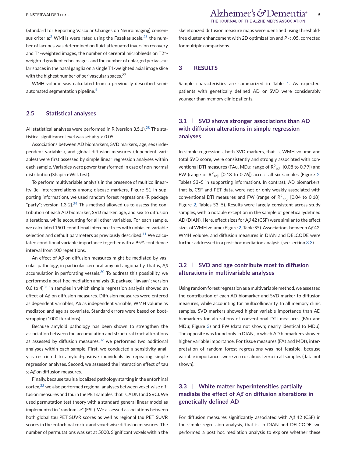(Standard for Reporting Vascular Changes on Neuroimaging) consen-sus criteria:<sup>[2](#page-9-0)</sup> WMHs were rated using the Fazekas scale,  $26$  the number of lacunes was determined on fluid-attenuated inversion recovery and T1-weighted images, the number of cerebral microbleeds on T2∗ weighted gradient echo images, and the number of enlarged perivascular spaces in the basal ganglia on a single T1-weighted axial image slice with the highest number of perivascular spaces.<sup>27</sup>

WMH volume was calculated from a previously described semi-automated segmentation pipeline.<sup>[4](#page-9-0)</sup>

#### **2.5 Statistical analyses**

All statistical analyses were performed in R (version  $3.5.1$ ).<sup>[28](#page-10-0)</sup> The statistical significance level was set at *α* < 0.05.

Associations between AD biomarkers, SVD markers, age, sex (independent variables), and global diffusion measures (dependent variables) were first assessed by simple linear regression analyses within each sample. Variables were power transformed in case of non-normal distribution (Shapiro-Wilk test).

To perform multivariable analysis in the presence of multicollinearity (ie, intercorrelations among disease markers, Figure S1 in supporting information), we used random forest regressions (R package "party"; version  $1.3-2$ ).<sup>[29](#page-10-0)</sup> This method allowed us to assess the contribution of each AD biomarker, SVD marker, age, and sex to diffusion alterations, while accounting for all other variables. For each sample, we calculated 1501 conditional inference trees with unbiased variable selection and default parameters as previously described.<sup>[11](#page-9-0)</sup> We calculated conditional variable importance together with a 95% confidence interval from 100 repetitions.

An effect of A*β* on diffusion measures might be mediated by vascular pathology, in particular cerebral amyloid angiopathy, that is, A*β* accumulation in perforating vessels. $30$  To address this possibility, we performed a post-hoc mediation analysis (R package "lavaan"; version 0.6 to  $4^{31}$  $4^{31}$  $4^{31}$  in samples in which simple regression analysis showed an effect of A*β* on diffusion measures. Diffusion measures were entered as dependent variables, A*β* as independent variable, WMH volume as mediator, and age as covariate. Standard errors were based on bootstrapping (1000 iterations).

Because amyloid pathology has been shown to strengthen the association between tau accumulation and structural tract alterations as assessed by diffusion measures, $32$  we performed two additional analyses within each sample. First, we conducted a sensitivity analysis restricted to amyloid-positive individuals by repeating simple regression analyses. Second, we assessed the interaction effect of tau × A*β* on diffusion measures.

Finally, because tau is a localized pathology starting in the entorhinal cortex,[33](#page-10-0) we also performed regional analyses between voxel-wise diffusion measures and tau in the PET samples, that is, ADNI and SVCI.We used permutation test theory with a standard general linear model as implemented in "randomise" (FSL). We assessed associations between both global tau PET SUVR scores as well as regional tau PET SUVR scores in the entorhinal cortex and voxel-wise diffusion measures. The number of permutations was set at 5000. Significant voxels within the skeletonized diffusion measure maps were identified using thresholdfree cluster enhancement with 2D optimization and *P* < .05, corrected for multiple comparisons.

# **3 RESULTS**

Sample characteristics are summarized in Table [1.](#page-5-0) As expected, patients with genetically defined AD or SVD were considerably younger than memory clinic patients.

# **3.1 SVD shows stronger associations than AD with diffusion alterations in simple regression analyses**

In simple regressions, both SVD markers, that is, WMH volume and total SVD score, were consistently and strongly associated with conventional DTI measures (FAu, MDu; range of R $^2$ <sub>adj.</sub> [0.08 to 0.79]) and FW (range of  $R^2$ <sub>adj.</sub> [0.18 to 0.76]) across all six samples (Figure [2,](#page-6-0) Tables S3–5 in supporting information). In contrast, AD biomarkers, that is, CSF and PET data, were not or only weakly associated with conventional DTI measures and FW (range of  $R^2_{\ \ adj.}$  [0.04 to 0.18]; Figure [2,](#page-6-0) Tables S3–5). Results were largely consistent across study samples, with a notable exception in the sample of geneticallydefined AD (DIAN). Here, effect sizes for A*β* 42 (CSF) were similar to the effect sizes ofWMH volume (Figure [2,](#page-6-0) Table S5). Associations between A*β* 42, WMH volume, and diffusion measures in DIAN and DELCODE were further addressed in a post-hoc mediation analysis (see section 3.3).

# **3.2 SVD and age contribute most to diffusion alterations in multivariable analyses**

Using random forest regression as a multivariable method, we assessed the contribution of each AD biomarker and SVD marker to diffusion measures, while accounting for multicollinearity. In all memory clinic samples, SVD markers showed higher variable importance than AD biomarkers for alterations of conventional DTI measures (FAu and MDu; Figure [3\)](#page-7-0) and FW (data not shown; nearly identical to MDu). The opposite was found only in DIAN, in which AD biomarkers showed higher variable importance. For tissue measures (FAt and MDt), interpretation of random forest regressions was not feasible, because variable importances were zero or almost zero in all samples (data not shown).

# **3.3 White matter hyperintensities partially mediate the effect of A***β* **on diffusion alterations in genetically defined AD**

For diffusion measures significantly associated with A*β* 42 (CSF) in the simple regression analysis, that is, in DIAN and DELCODE, we performed a post hoc mediation analysis to explore whether these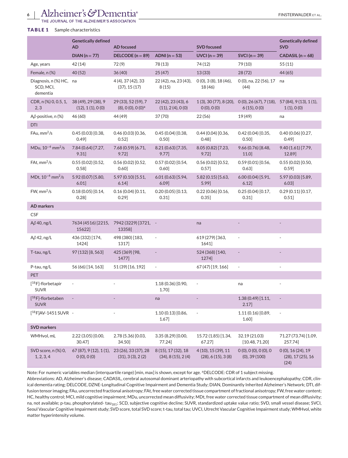# <span id="page-5-0"></span>6 | Alzheimer's GDementia<sup>®</sup>

JOURNAL OF THE ALZHEIMER'S ASSOCIATION

#### **TABLE 1** Sample characteristics

|                                                  | <b>Genetically defined</b><br><b>AD</b>    | <b>AD</b> focused                                           |                                                    | <b>SVD</b> focused                       |                                     | <b>Genetically defined</b><br><b>SVD</b>                  |
|--------------------------------------------------|--------------------------------------------|-------------------------------------------------------------|----------------------------------------------------|------------------------------------------|-------------------------------------|-----------------------------------------------------------|
|                                                  | $DIAN (n = 77)$                            | DELCODE ( $n = 89$ )                                        | ADNI $(n=53)$                                      | $UVCI (n = 39)$                          | SVCI $(n = 39)$                     | $CADASIL(n = 68)$                                         |
| Age, years                                       | 42 (14)                                    | 72(9)                                                       | 78 (13)                                            | 74 (12)                                  | 79 (10)                             | 55(11)                                                    |
| Female, n (%)                                    | 40(52)                                     | 36(40)                                                      | 25(47)                                             | 13(33)                                   | 28(72)                              | 44 (65)                                                   |
| Diagnosis, n (%) HC, na<br>SCD, MCI,<br>dementia |                                            | 4 (4), 37 (42), 33<br>(37), 15(17)                          | 22 (42), na, 23 (43),<br>8(15)                     | 0(0), 3(8), 18(46),<br>18 (46)           | 0 (0), na, 22 (56), 17<br>(44)      | na                                                        |
| CDR, n (%) 0, 0.5, 1,<br>2, 3                    | 38 (49), 29 (38), 9<br>(12), 1(1), 0(0)    | 29 (33), 52 (59), 7<br>$(8), 0$ $(0), 0$ $(0)$ <sup>a</sup> | 22 (42), 23 (43), 6<br>(11), 2(4), 0(0)            | 1(3), 30(77), 8(20),<br>$O(0)$ , $O(0)$  | 6(15), 0(0)                         | $0(0), 26(67), 7(18), 57(84), 9(13), 1(1),$<br>1(1), 0(0) |
| $A\beta$ -positive, n (%)                        | 46 (60)                                    | 44 (49)                                                     | 37(70)                                             | 22 (56)                                  | 19 (49)                             | na                                                        |
| <b>DTI</b>                                       |                                            |                                                             |                                                    |                                          |                                     |                                                           |
| $FAu, \text{mm}^2/\text{s}$                      | 0.45(0.03)[0.38,<br>0.49                   | 0.46(0.03)[0.36,<br>0.52]                                   | 0.45(0.04)[0.38,<br>0.50                           | 0.44(0.04)[0.36,<br>0.48]                | 0.42(0.04)[0.35,<br>0.50            | 0.40(0.06)[0.27,<br>0.49]                                 |
| MDu, $10^{-4}$ mm <sup>2</sup> /s                | 7.84 (0.64) [7.27,<br>9.31]                | 7.68 (0.59) [6.71,<br>9.72]                                 | 8.21 (0.63) [7.35,<br>$9.77$ ]                     | 8.05 (0.82) [7.23,<br>9.72]              | 9.66 (0.76) [8.48,<br>$11.0$ ]      | 9.40 (1.61) [7.79,<br>12.89]                              |
| FAt, $mm^2/s$                                    | 0.55(0.02)[0.52]<br>$0.58$ ]               | 0.56(0.02)[0.52,<br>0.60]                                   | 0.57(0.02)[0.54,<br>0.60]                          | 0.56(0.02)[0.52,<br>0.57]                | 0.59(0.01)[0.56,<br>0.63            | 0.55(0.02)[0.50,<br>0.59]                                 |
| MDt, $10^{-4}$ mm <sup>2</sup> /s                | 5.92 (0.07) [5.80,<br>6.01]                | 5.97(0.10)[5.51,<br>6.14]                                   | 6.01(0.63)[5.94,<br>$6.09$ ]                       | 5.82 (0.15) [5.63,<br>$5.99$ ]           | 6.00(0.04)[5.91,<br>6.12]           | 5.97 (0.03) [5.89,<br>6.03]                               |
| $FW, \text{mm}^2/\text{s}$                       | 0.18(0.05)[0.14,<br>0.28]                  | 0.16(0.04)[0.11,<br>0.29]                                   | 0.20(0.05)[0.13,<br>0.31]                          | 0.22(0.06)[0.16,<br>0.35]                | 0.25(0.04)[0.17,<br>0.31]           | 0.29(0.11)[0.17,<br>0.51]                                 |
| <b>AD</b> markers                                |                                            |                                                             |                                                    |                                          |                                     |                                                           |
| <b>CSF</b>                                       |                                            |                                                             |                                                    |                                          |                                     |                                                           |
| $A\beta$ 40, ng/L                                | 15622]                                     | 7634 (4516) [2215, 7942 (3229) [3721, -<br>13358]           |                                                    | na                                       |                                     |                                                           |
| $A\beta$ 42, ng/L                                | 436 (332) [174,<br>1424]                   | 498 (380) [183,<br>1317]                                    | $\overline{\phantom{a}}$                           | 619 (279) [363,<br>1641]                 |                                     |                                                           |
| T-tau, ng/L                                      | 97 (132) [8, 563]                          | 425 (369) [98,<br>1477]                                     |                                                    | 524 (368) [140,<br>1274]                 |                                     |                                                           |
| P-tau, ng/L                                      | 56 (66) [14, 163]                          | 51 (39) [16, 192]                                           | $\overline{\phantom{a}}$                           | 67 (47) [19, 166]                        | $\overline{\phantom{a}}$            | ٠                                                         |
| <b>PET</b>                                       |                                            |                                                             |                                                    |                                          |                                     |                                                           |
| $[$ <sup>18</sup> F]-florbetapir<br><b>SUVR</b>  |                                            |                                                             | 1.18 (0.36) [0.90,<br>1.70]                        | ÷,                                       | na                                  |                                                           |
| $[$ <sup>18</sup> F]-florbetaben<br><b>SUVR</b>  |                                            |                                                             | na                                                 |                                          | 1.38 (0.49) [1.11,<br>$2.17$ ]      |                                                           |
| $[$ <sup>18</sup> F]AV-1451 SUVR -               |                                            |                                                             | 1.10 (0.13) [0.86,<br>1.67]                        | $\overline{\phantom{a}}$                 | 1.11 (0.16) [0.89,<br>1.60]         | $\overline{\phantom{a}}$                                  |
| <b>SVD markers</b>                               |                                            |                                                             |                                                    |                                          |                                     |                                                           |
| WMHvol, mL                                       | 2.22 (3.05) [0.00,<br>30.47]               | 2.78 (5.36) [0.03,<br>34.50]                                | 3.35 (8.29) [0.00,<br>77.24]                       | 15.72 (1.85) [1.34,<br>67.27]            | 32.19 (21.03)<br>[10.48, 71.20]     | 71.27 (73.74) [1.09,<br>257.74]                           |
| SVD score, n (%) 0,<br>1, 2, 3, 4                | 67 (87), 9 (12), 1 (1),<br>$O(0)$ , $O(0)$ | 23 (26), 33 (37), 28<br>(31), 3(3), 2(2)                    | 8 (15), 17 (32), 18<br>$(34)$ , 8 $(15)$ , 2 $(4)$ | 4 (10), 15 (39), 11<br>(28), 6(15), 3(8) | 0(0), 0(0), 0(0), 0<br>(0), 39(100) | $0(0)$ , 16 (24), 19<br>(28), 17(25), 16<br>(24)          |

Note: For numeric variables median (interquartile range) [min, max] is shown, except for age. <sup>a</sup>DELCODE: CDR of 1 subject missing.

Abbreviations: AD, Alzheimer's disease; CADASIL, cerebral autosomal dominant arteriopathy with subcortical infarcts and leukoencephalopathy; CDR, clinical dementia rating; DELCODE, DZNE-Longitudinal Cognitive Impairment and Dementia Study; DIAN, Dominantly Inherited Alzheimer's Network; DTI, diffusion tensor imaging; FAu, uncorrected fractional anisotropy; FAt, free water corrected tissue compartment of fractional anisotropy; FW, free water content; HC, healthy control; MCI, mild cognitive impairment; MDu, uncorrected mean diffusivity; MDt, free water corrected tissue compartment of mean diffusivity; na, not available; p-tau, phosphorylated- tau<sub>181</sub>; SCD, subjective cognitive decline; SUVR, standardized uptake value ratio; SVD, small vessel disease; SVCI, Seoul Vascular Cognitive Impairment study; SVD score, total SVD score; t-tau, total tau; UVCI, Utrecht Vascular Cognitive Impairment study; WMHvol, white matter hyperintensity volume.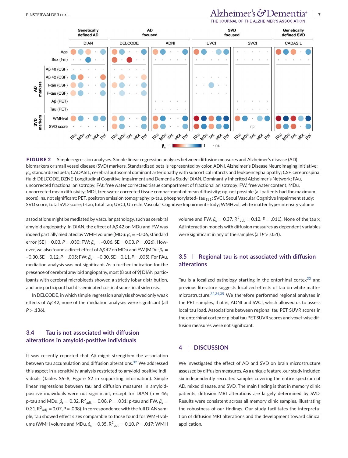#### <span id="page-6-0"></span>FINSTERWALDER ET AL. *Alzheimer's*  $G$ Demen THE JOURNAL OF THE ALZHEIMER'S ASSOCIAT



**FIGURE 2** Simple regression analyses. Simple linear regression analyses between diffusion measures and Alzheimer's disease (AD) biomarkers or small vessel disease (SVD) markers. Standardized beta is represented by color. ADNI, Alzheimer's Disease Neuroimaging Initiative; *β*s, standardized beta; CADASIL, cerebral autosomal dominant arteriopathy with subcortical infarcts and leukoencephalopathy; CSF, cerebrospinal fluid; DELCODE, DZNE-Longitudinal Cognitive Impairment and Dementia Study; DIAN, Dominantly Inherited Alzheimer's Network; FAu, uncorrected fractional anisotropy; FAt, free water corrected tissue compartment of fractional anisotropy; FW, free water content; MDu, uncorrected mean diffusivity; MDt, free water corrected tissue compartment of mean diffusivity; np, not possible (all patients had the maximum score); ns, not significant; PET, positron emission tomography; p-tau, phosphorylated- tau<sub>181</sub>; SVCI, Seoul Vascular Cognitive Impairment study; SVD score, total SVD score; t-tau, total tau; UVCI, Utrecht Vascular Cognitive Impairment study; WMHvol, white matter hyperintensity volume

associations might be mediated by vascular pathology, such as cerebral amyloid angiopathy. In DIAN, the effect of A*β* 42 on MDu and FW was indeed partially mediated by WMH volume (MDu:  $\beta_s = -0.06$ , standard error  $[SE] = 0.03$ ,  $P = .030$ ;  $FW: \beta_s = -0.06$ ,  $SE = 0.03$ ,  $P = .026$ ). However, we also found a direct effect of Aβ 42 on MDu and FW (MDu:  $β<sub>s</sub>$  = –0.30, SE = 0.12, *P* = .005; FW: *β*<sup>s</sup> = –0.30, SE = 0.11, *P* = .005). For FAu, mediation analysis was not significant. As a further indication for the presence of cerebral amyloid angiopathy, most (8 out of 9) DIAN participants with cerebral microbleeds showed a strictly lobar distribution, and one participant had disseminated cortical superficial siderosis.

In DELCODE, in which simple regression analysis showed only weak effects of A*β* 42, none of the mediation analyses were significant (all  $P > .136$ ).

# **3.4 Tau is not associated with diffusion alterations in amyloid-positive individuals**

It was recently reported that A*β* might strengthen the association between tau accumulation and diffusion alterations.[32](#page-10-0) We addressed this aspect in a sensitivity analysis restricted to amyloid-positive individuals (Tables S6–8, Figure S2 in supporting information). Simple linear regressions between tau and diffusion measures in amyloidpositive individuals were not significant, except for DIAN ( $n = 46$ ; p-tau and MDu,  $\beta_{\rm s} =$  0.32, R<sup>2</sup><sub>adj.</sub> = 0.08, P = .031; p-tau and FW,  $\beta_{\rm s}$  = 0.31, R<sup>2</sup>  $_{\rm adj.}$  = 0.07, P = .038). In correspondence with the full DIAN sample, tau showed effect sizes comparable to those found for WMH volume (WMH volume and MDu,  $\beta_{\text{\tiny S}} = 0.35$ , R $^2$ <sub>adj.</sub> = 0.10, P = .017; WMH

volume and FW,  $β_s = 0.37$ ,  $R^2_{adj.} = 0.12$ ,  $P = .011$ ). None of the tau  $×$ A*β* interaction models with diffusion measures as dependent variables were significant in any of the samples (all *P* > .051).

# **3.5 Regional tau is not associated with diffusion alterations**

Tau is a localized pathology starting in the entorhinal cortex $33$  and previous literature suggests localized effects of tau on white matter microstructure.[32,34,35](#page-10-0) We therefore performed regional analyses in the PET samples, that is, ADNI and SVCI, which allowed us to assess local tau load. Associations between regional tau PET SUVR scores in the entorhinal cortex or global tau PET SUVR scores and voxel-wise diffusion measures were not significant.

### **4 DISCUSSION**

We investigated the effect of AD and SVD on brain microstructure assessed by diffusion measures. As a unique feature, our study included six independently recruited samples covering the entire spectrum of AD, mixed disease, and SVD. The main finding is that in memory clinic patients, diffusion MRI alterations are largely determined by SVD. Results were consistent across all memory clinic samples, illustrating the robustness of our findings. Our study facilitates the interpretation of diffusion MRI alterations and the development toward clinical application.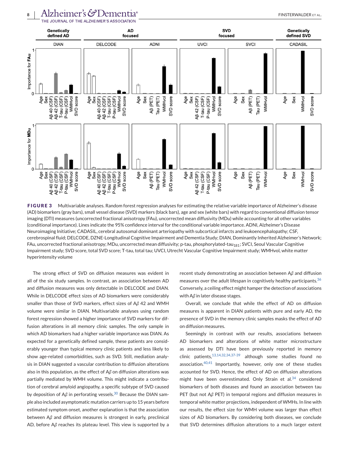<span id="page-7-0"></span>

**FIGURE 3** Multivariable analyses. Random forest regression analyses for estimating the relative variable importance of Alzheimer's disease (AD) biomarkers (gray bars), small vessel disease (SVD) markers (black bars), age and sex (white bars) with regard to conventional diffusion tensor imaging (DTI) measures (uncorrected fractional anisotropy (FAu), uncorrected mean diffusivity (MDu) while accounting for all other variables (conditional importance). Lines indicate the 95% confidence interval for the conditional variable importance. ADNI, Alzheimer's Disease Neuroimaging Initiative; CADASIL, cerebral autosomal dominant arteriopathy with subcortical infarcts and leukoencephalopathy; CSF, cerebrospinal fluid; DELCODE, DZNE-Longitudinal Cognitive Impairment and Dementia Study; DIAN, Dominantly Inherited Alzheimer's Network; FAu, uncorrected fractional anisotropy; MDu, uncorrected mean diffusivity; p-tau, phosphorylated-tau<sub>181</sub>; SVCI, Seoul Vascular Cognitive Impairment study; SVD score, total SVD score; T-tau, total tau; UVCI, Utrecht Vascular Cognitive Impairment study; WMHvol, white matter hyperintensity volume

The strong effect of SVD on diffusion measures was evident in all of the six study samples. In contrast, an association between AD and diffusion measures was only detectable in DELCODE and DIAN. While in DELCODE effect sizes of AD biomarkers were considerably smaller than those of SVD markers, effect sizes of A*β* 42 and WMH volume were similar in DIAN. Multivariable analyses using random forest regression showed a higher importance of SVD markers for diffusion alterations in all memory clinic samples. The only sample in which AD biomarkers had a higher variable importance was DIAN. As expected for a genetically defined sample, these patients are considerably younger than typical memory clinic patients and less likely to show age-related comorbidities, such as SVD. Still, mediation analysis in DIAN suggested a vascular contribution to diffusion alterations also in this population, as the effect of A*β* on diffusion alterations was partially mediated by WMH volume. This might indicate a contribution of cerebral amyloid angiopathy, a specific subtype of SVD caused by deposition of Aβ in perforating vessels.<sup>[30](#page-10-0)</sup> Because the DIAN sample also included asymptomatic mutation carriers up to 15 years before estimated symptom onset, another explanation is that the association between A*β* and diffusion measures is strongest in early, preclinical AD, before A*β* reaches its plateau level. This view is supported by a recent study demonstrating an association between A*β* and diffusion measures over the adult lifespan in cognitively healthy participants.<sup>[36](#page-10-0)</sup> Conversely, a ceiling effect might hamper the detection of associations with Aβ in later disease stages.

Overall, we conclude that while the effect of AD on diffusion measures is apparent in DIAN patients with pure and early AD, the presence of SVD in the memory clinic samples masks the effect of AD on diffusion measures.

Seemingly in contrast with our results, associations between AD biomarkers and alterations of white matter microstructure as assessed by DTI have been previously reported in memory clinic patients,[13,14,32,34,37-39](#page-9-0) although some studies found no association.[40,41](#page-10-0) Importantly, however, only one of these studies accounted for SVD. Hence, the effect of AD on diffusion alterations might have been overestimated. Only Strain et al.<sup>[34](#page-10-0)</sup> considered biomarkers of both diseases and found an association between tau PET (but not A*β* PET) in temporal regions and diffusion measures in temporal white matter projections, independent of WMHs. In line with our results, the effect size for WMH volume was larger than effect sizes of AD biomarkers. By considering both diseases, we conclude that SVD determines diffusion alterations to a much larger extent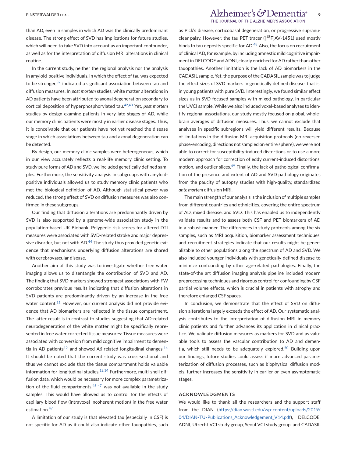than AD, even in samples in which AD was the clinically predominant disease. The strong effect of SVD has implications for future studies, which will need to take SVD into account as an important confounder, as well as for the interpretation of diffusion MRI alterations in clinical routine.

In the current study, neither the regional analysis nor the analysis in amyloid-positive individuals, in which the effect of tau was expected to be stronger,  $32$  indicated a significant association between tau and diffusion measures. In *post mortem* studies, white matter alterations in AD patients have been attributed to axonal degeneration secondary to cortical deposition of hyperphosphorylated tau.[42,43](#page-10-0) Yet, *post mortem* studies by design examine patients in very late stages of AD, while our memory clinic patients were mostly in earlier disease stages. Thus, it is conceivable that our patients have not yet reached the disease stage in which associations between tau and axonal degeneration can be detected.

By design, our memory clinic samples were heterogeneous, which in our view accurately reflects a real-life memory clinic setting. To study pure forms of AD and SVD, we included genetically defined samples. Furthermore, the sensitivity analysis in subgroups with amyloidpositive individuals allowed us to study memory clinic patients who met the biological definition of AD. Although statistical power was reduced, the strong effect of SVD on diffusion measures was also confirmed in these subgroups.

Our finding that diffusion alterations are predominantly driven by SVD is also supported by a genome-wide association study in the population-based UK Biobank. Polygenic risk scores for altered DTI measures were associated with SVD-related stroke and major depres-sive disorder, but not with AD.<sup>[44](#page-10-0)</sup> The study thus provided genetic evidence that mechanisms underlying diffusion alterations are shared with cerebrovascular disease.

Another aim of this study was to investigate whether free water imaging allows us to disentangle the contribution of SVD and AD. The finding that SVD markers showed strongest associations with FW corroborates previous results indicating that diffusion alterations in SVD patients are predominantly driven by an increase in the free water content.<sup>[11](#page-9-0)</sup> However, our current analysis did not provide evidence that AD biomarkers are reflected in the tissue compartment. The latter result is in contrast to studies suggesting that AD-related neurodegeneration of the white matter might be specifically represented in free water corrected tissue measures: Tissue measures were associated with conversion from mild cognitive impairment to demen-tia in AD patients<sup>[12](#page-9-0)</sup> and showed Aβ-related longitudinal changes.<sup>[14](#page-9-0)</sup> It should be noted that the current study was cross-sectional and thus we cannot exclude that the tissue compartment holds valuable information for longitudinal studies. $12,14$  Furthermore, multi-shell diffusion data, which would be necessary for more complex parametrization of the fluid compartments,  $45-47$  was not available in the study samples. This would have allowed us to control for the effects of capillary blood flow (intravoxel incoherent motion) in the free water estimation.[47](#page-10-0)

A limitation of our study is that elevated tau (especially in CSF) is not specific for AD as it could also indicate other tauopathies, such

# FINSTERWALDER ET AL. **Alzheimer's & Dementia**® | 9

THE JOURNAL OF THE ALZHEIMER'S ASSOCIATION

as Pick's disease, corticobasal degeneration, or progressive supranuclear palsy. However, the tau PET tracer ( $[18F]AV-1451$ ) used mostly binds to tau deposits specific for AD.<sup>[48](#page-10-0)</sup> Also, the focus on recruitment of clinical AD, for example, by including amnestic mild cognitive impairment in DELCODE and ADNI, clearly enriched for AD rather than other tauopathies. Another limitation is the lack of AD biomarkers in the CADASIL sample. Yet, the purpose of the CADASIL sample was to judge the effect sizes of SVD markers in genetically defined disease, that is, in young patients with pure SVD. Interestingly, we found similar effect sizes as in SVD-focused samples with mixed pathology, in particular the UVCI sample. While we also included voxel-based analyses to identify regional associations, our study mostly focused on global, wholebrain averages of diffusion measures. Thus, we cannot exclude that analyses in specific subregions will yield different results. Because of limitations in the diffusion MRI acquisition protocols (no reversed phase-encoding, directions not sampled on entire sphere), we were not able to correct for susceptibility-induced distortions or to use a more modern approach for correction of eddy current-induced distortions, motion, and outlier slices.<sup>[49](#page-10-0)</sup> Finally, the lack of pathological confirmation of the presence and extent of AD and SVD pathology originates from the paucity of autopsy studies with high-quality, standardized *ante mortem* diffusion MRI.

The main strength of our analysis is the inclusion of multiple samples from different countries and ethnicities, covering the entire spectrum of AD, mixed disease, and SVD. This has enabled us to independently validate results and to assess both CSF and PET biomarkers of AD in a robust manner. The differences in study protocols among the six samples, such as MRI acquisition, biomarker assessment techniques, and recruitment strategies indicate that our results might be generalizable to other populations along the spectrum of AD and SVD. We also included younger individuals with genetically defined disease to minimize confounding by other age-related pathologies. Finally, the state-of-the art diffusion imaging analysis pipeline included modern preprocessing techniques and rigorous control for confounding by CSF partial volume effects, which is crucial in patients with atrophy and therefore enlarged CSF spaces.

In conclusion, we demonstrate that the effect of SVD on diffusion alterations largely exceeds the effect of AD. Our systematic analysis contributes to the interpretation of diffusion MRI in memory clinic patients and further advances its application in clinical practice. We validate diffusion measures as markers for SVD and as valuable tools to assess the vascular contribution to AD and demen-tia, which still needs to be adequately explored.<sup>[50](#page-10-0)</sup> Building upon our findings, future studies could assess if more advanced parameterization of diffusion processes, such as biophysical diffusion models, further increases the sensitivity in earlier or even asymptomatic stages.

#### **ACKNOWLEDGMENTS**

We would like to thank all the researchers and the support staff from the DIAN [\(https://dian.wustl.edu/wp-content/uploads/2019/](https://dian.wustl.edu/wp-content/uploads/2019/04/DIAN-TU-Publications_Acknowledgement_V14.pdf) [04/DIAN-TU-Publications\\_Acknowledgement\\_V14.pdf\)](https://dian.wustl.edu/wp-content/uploads/2019/04/DIAN-TU-Publications_Acknowledgement_V14.pdf), DELCODE, ADNI, Utrecht VCI study group, Seoul VCI study group, and CADASIL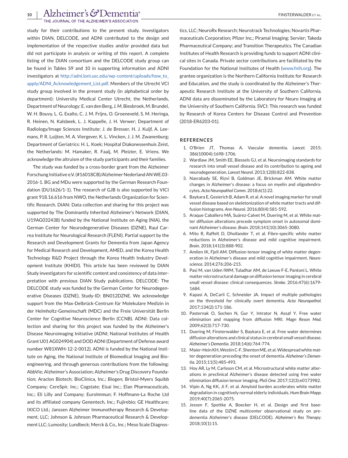THE JOURNAL OF THE ALZHEIMER'S ASSOCIATION

<span id="page-9-0"></span>study for their contributions to the present study. Investigators within DIAN, DELCODE, and ADNI contributed to the design and implementation of the respective studies and/or provided data but did not participate in analysis or writing of this report. A complete listing of the DIAN consortium and the DELCODE study group can be found in Tables S9 and 10 in supporting information and ADNI investigators at [http://adni.loni.usc.edu/wp-content/uploads/how\\_to\\_](http://adni.loni.usc.edu/wp-content/uploads/how_to_apply/ADNI_Acknowledgement_List.pdf) [apply/ADNI\\_Acknowledgement\\_List.pdf.](http://adni.loni.usc.edu/wp-content/uploads/how_to_apply/ADNI_Acknowledgement_List.pdf) Members of the Utrecht VCI study group involved in the present study (in alphabetical order by department): University Medical Center Utrecht, the Netherlands, Department of Neurology: E. van den Berg, J. M. Biesbroek, M. Brundel, W. H. Bouvy, L. G. Exalto, C. J. M. Frijns, O. Groeneveld, S. M. Heringa, R. Heinen, N. Kalsbeek, L. J. Kappelle, J. H. Verwer; Department of Radiology/Image Sciences Institute: J. de Bresser, H. J. Kuijf, A. Leemans, P. R. Luijten, M. A. Viergever, K. L. Vincken, J. J. M. Zwanenburg; Department of Geriatrics: H. L. Koek; Hospital Diakonessenhuis Zeist, the Netherlands: M. Hamaker, R. Faaij, M. Pleizier, E. Vriens. We acknowledge the altruism of the study participants and their families.

The study was funded by a cross-border grant from the Alzheimer Forschung Initiative e.V. (#16018CB)/Alzheimer Nederland ANWE.03- 2016-1. BG and MDu were supported by the German Research Foundation (DU1626/1-1). The research of GJB is also supported by VICI grant 918.16.616 from NWO, the Netherlands Organization for Scientific Research. DIAN: Data collection and sharing for this project was supported by The Dominantly Inherited Alzheimer's Network (DIAN, U19AG032438) funded by the National Institute on Aging (NIA), the German Center for Neurodegenerative Diseases (DZNE), Raul Carrea Institute for Neurological Research (FLENI). Partial support by the Research and Development Grants for Dementia from Japan Agency for Medical Research and Development, AMED, and the Korea Health Technology R&D Project through the Korea Health Industry Development Institute (KHIDI). This article has been reviewed by DIAN Study investigators for scientific content and consistency of data interpretation with previous DIAN Study publications. DELCODE: The DELCODE study was funded by the German Center for Neurodegenerative Diseases (DZNE), Study-ID: BN012DZNE. We acknowledge support from the Max-Delbrück-Centrum für Molekulare Medizin in der Helmholtz-Gemeinschaft (MDC) and the Freie Universität Berlin Center for Cognitive Neuroscience Berlin (CCNB). ADNI: Data collection and sharing for this project was funded by the Alzheimer's Disease Neuroimaging Initiative (ADNI; National Institutes of Health Grant U01 AG024904) and DOD ADNI (Department of Defense award number W81XWH-12-2-0012). ADNI is funded by the National Institute on Aging, the National Institute of Biomedical Imaging and Bioengineering, and through generous contributions from the following: AbbVie; Alzheimer's Association; Alzheimer's Drug Discovery Foundation; Araclon Biotech; BioClinica, Inc.; Biogen; Bristol-Myers Squibb Company; CereSpir, Inc.; Cogstate; Eisai Inc.; Elan Pharmaceuticals, Inc.; Eli Lilly and Company; EuroImmun; F. Hoffmann-La Roche Ltd and its affiliated company Genentech, Inc.; Fujirebio; GE Healthcare; IXICO Ltd.; Janssen Alzheimer Immunotherapy Research & Development, LLC; Johnson & Johnson Pharmaceutical Research & Development LLC; Lumosity; Lundbeck; Merck & Co., Inc.; Meso Scale Diagnostics, LLC; NeuroRx Research; Neurotrack Technologies; Novartis Pharmaceuticals Corporation; Pfizer Inc.; Piramal Imaging; Servier; Takeda Pharmaceutical Company; and Transition Therapeutics. The Canadian Institutes of Health Research is providing funds to support ADNI clinical sites in Canada. Private sector contributions are facilitated by the Foundation for the National Institutes of Health [\(www.fnih.org\)](http://www.fnih.org). The grantee organization is the Northern California Institute for Research and Education, and the study is coordinated by the Alzheimer's Therapeutic Research Institute at the University of Southern California. ADNI data are disseminated by the Laboratory for Neuro Imaging at the University of Southern California. SVCI: This research was funded by Research of Korea Centers for Disease Control and Prevention (2018-ER6203-01).

#### **REFERENCES**

- 1. O'Brien JT, Thomas A. Vascular dementia. *Lancet*. 2015; 386(10004):1698-1706.
- 2. Wardlaw JM, Smith EE, Biessels GJ, et al. Neuroimaging standards for research into small vessel disease and its contribution to ageing and neurodegeneration. *Lancet Neurol*. 2013;12(8):822-838.
- 3. Nasrabady SE, Rizvi B, Goldman JE, Brickman AM. White matter changes in Alzheimer's disease: a focus on myelin and oligodendrocytes. *Acta Neuropathol Comm*. 2018;6(1):22.
- 4. Baykara E, Gesierich B, Adam R, et al. A novel imaging marker for small vessel disease based on skeletonization of white matter tracts and diffusion histograms. *Ann Neurol*. 2016;80(4):581-592.
- 5. Araque Caballero MÁ, Suárez-Calvet M, Duering M, et al. White matter diffusion alterations precede symptom onset in autosomal dominant Alzheimer's disease. *Brain*. 2018;141(10):3065-3080.
- 6. Mito R, Raffelt D, Dhollander T, et al. Fibre-specific white matter reductions in Alzheimer's disease and mild cognitive impairment. *Brain*. 2018;141(3):888-902.
- 7. Amlien IK, Fjell AM. Diffusion tensor imaging of white matter degeneration in Alzheimer's disease and mild cognitive impairment. *Neuroscience*. 2014;276:206-215.
- 8. Pasi M, van Uden IWM, Tuladhar AM, de Leeuw F-E, Pantoni L. White matter microstructural damage on diffusion tensor imaging in cerebral small vessel disease: clinical consequences. *Stroke*. 2016;47(6):1679- 1684.
- 9. Kapasi A, DeCarli C, Schneider JA. Impact of multiple pathologies on the threshold for clinically overt dementia. *Acta Neuropathol*. 2017;134(2):171-186.
- 10. Pasternak O, Sochen N, Gur Y, Intrator N, Assaf Y. Free water elimination and mapping from diffusion MRI. *Magn Reson Med*. 2009;62(3):717-730.
- 11. Duering M, Finsterwalder S, Baykara E, et al. Free water determines diffusion alterations and clinical status in cerebral small vessel disease. *Alzheimer's Dementia*. 2018;14(6):764-774.
- 12. Maier-Hein KH, Westin C-F, Shenton ME, et al. Widespread white matter degeneration preceding the onset of dementia. *Alzheimer's Dementia*. 2015;11(5):485-493.
- 13. Hoy AR, Ly M, Carlsson CM, et al. Microstructural white matter alterations in preclinical Alzheimer's disease detected using free water elimination diffusion tensor imaging. *PloS One*. 2017;12(3):e0173982.
- 14. Vipin A, Ng KK, Ji F, et al. Amyloid burden accelerates white matter degradation in cognitively normal elderly individuals. *Hum Brain Mapp*. 2019;40(7):2065-2075.
- 15. Jessen F, Spottke A, Boecker H, et al. Design and first baseline data of the DZNE multicenter observational study on predementia Alzheimer's disease (DELCODE). *Alzheimer's Res Therapy*. 2018;10(1):15.